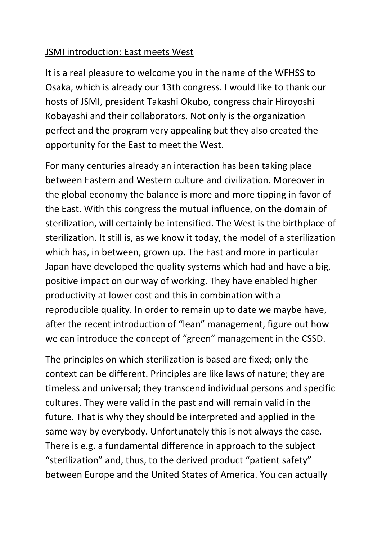## JSMI introduction: East meets West

It is a real pleasure to welcome you in the name of the WFHSS to Osaka, which is already our 13th congress. I would like to thank our hosts of JSMI, president Takashi Okubo, congress chair Hiroyoshi Kobayashi and their collaborators. Not only is the organization perfect and the program very appealing but they also created the opportunity for the East to meet the West.

For many centuries already an interaction has been taking place between Eastern and Western culture and civilization. Moreover in the global economy the balance is more and more tipping in favor of the East. With this congress the mutual influence, on the domain of sterilization, will certainly be intensified. The West is the birthplace of sterilization. It still is, as we know it today, the model of a sterilization which has, in between, grown up. The East and more in particular Japan have developed the quality systems which had and have a big, positive impact on our way of working. They have enabled higher productivity at lower cost and this in combination with a reproducible quality. In order to remain up to date we maybe have, after the recent introduction of "lean" management, figure out how we can introduce the concept of "green" management in the CSSD.

The principles on which sterilization is based are fixed; only the context can be different. Principles are like laws of nature; they are timeless and universal; they transcend individual persons and specific cultures. They were valid in the past and will remain valid in the future. That is why they should be interpreted and applied in the same way by everybody. Unfortunately this is not always the case. There is e.g. a fundamental difference in approach to the subject "sterilization" and, thus, to the derived product "patient safety" between Europe and the United States of America. You can actually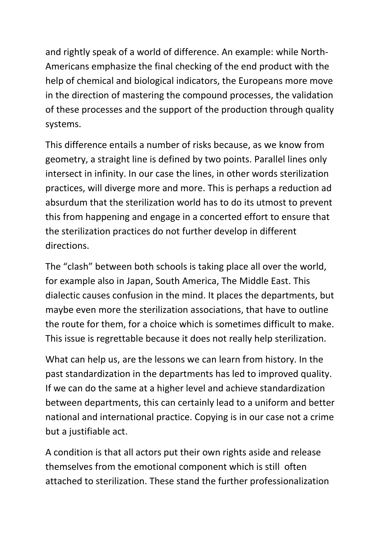and rightly speak of a world of difference. An example: while North-Americans emphasize the final checking of the end product with the help of chemical and biological indicators, the Europeans more move in the direction of mastering the compound processes, the validation of these processes and the support of the production through quality systems.

This difference entails a number of risks because, as we know from geometry, a straight line is defined by two points. Parallel lines only intersect in infinity. In our case the lines, in other words sterilization practices, will diverge more and more. This is perhaps a reduction ad absurdum that the sterilization world has to do its utmost to prevent this from happening and engage in a concerted effort to ensure that the sterilization practices do not further develop in different directions.

The "clash" between both schools is taking place all over the world, for example also in Japan, South America, The Middle East. This dialectic causes confusion in the mind. It places the departments, but maybe even more the sterilization associations, that have to outline the route for them, for a choice which is sometimes difficult to make. This issue is regrettable because it does not really help sterilization.

What can help us, are the lessons we can learn from history. In the past standardization in the departments has led to improved quality. If we can do the same at a higher level and achieve standardization between departments, this can certainly lead to a uniform and better national and international practice. Copying is in our case not a crime but a justifiable act.

A condition is that all actors put their own rights aside and release themselves from the emotional component which is still often attached to sterilization. These stand the further professionalization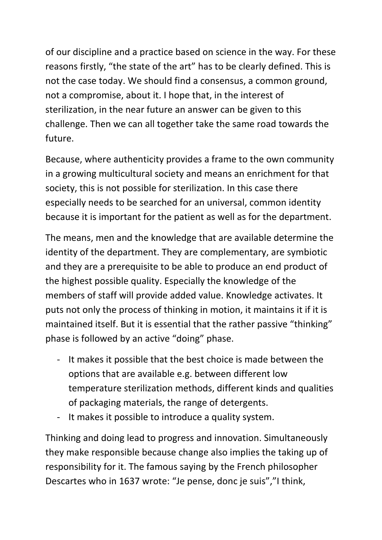of our discipline and a practice based on science in the way. For these reasons firstly, "the state of the art" has to be clearly defined. This is not the case today. We should find a consensus, a common ground, not a compromise, about it. I hope that, in the interest of sterilization, in the near future an answer can be given to this challenge. Then we can all together take the same road towards the future.

Because, where authenticity provides a frame to the own community in a growing multicultural society and means an enrichment for that society, this is not possible for sterilization. In this case there especially needs to be searched for an universal, common identity because it is important for the patient as well as for the department.

The means, men and the knowledge that are available determine the identity of the department. They are complementary, are symbiotic and they are a prerequisite to be able to produce an end product of the highest possible quality. Especially the knowledge of the members of staff will provide added value. Knowledge activates. It puts not only the process of thinking in motion, it maintains it if it is maintained itself. But it is essential that the rather passive "thinking" phase is followed by an active "doing" phase.

- It makes it possible that the best choice is made between the options that are available e.g. between different low temperature sterilization methods, different kinds and qualities of packaging materials, the range of detergents.
- It makes it possible to introduce a quality system.

Thinking and doing lead to progress and innovation. Simultaneously they make responsible because change also implies the taking up of responsibility for it. The famous saying by the French philosopher Descartes who in 1637 wrote: "Je pense, donc je suis","I think,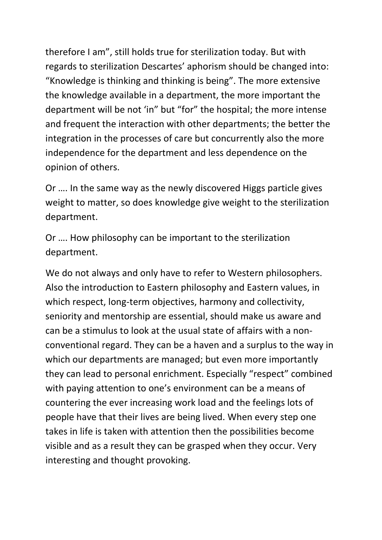therefore I am", still holds true for sterilization today. But with regards to sterilization Descartes' aphorism should be changed into: "Knowledge is thinking and thinking is being". The more extensive the knowledge available in a department, the more important the department will be not 'in" but "for" the hospital; the more intense and frequent the interaction with other departments; the better the integration in the processes of care but concurrently also the more independence for the department and less dependence on the opinion of others.

Or …. In the same way as the newly discovered Higgs particle gives weight to matter, so does knowledge give weight to the sterilization department.

Or …. How philosophy can be important to the sterilization department.

We do not always and only have to refer to Western philosophers. Also the introduction to Eastern philosophy and Eastern values, in which respect, long-term objectives, harmony and collectivity, seniority and mentorship are essential, should make us aware and can be a stimulus to look at the usual state of affairs with a nonconventional regard. They can be a haven and a surplus to the way in which our departments are managed; but even more importantly they can lead to personal enrichment. Especially "respect" combined with paying attention to one's environment can be a means of countering the ever increasing work load and the feelings lots of people have that their lives are being lived. When every step one takes in life is taken with attention then the possibilities become visible and as a result they can be grasped when they occur. Very interesting and thought provoking.